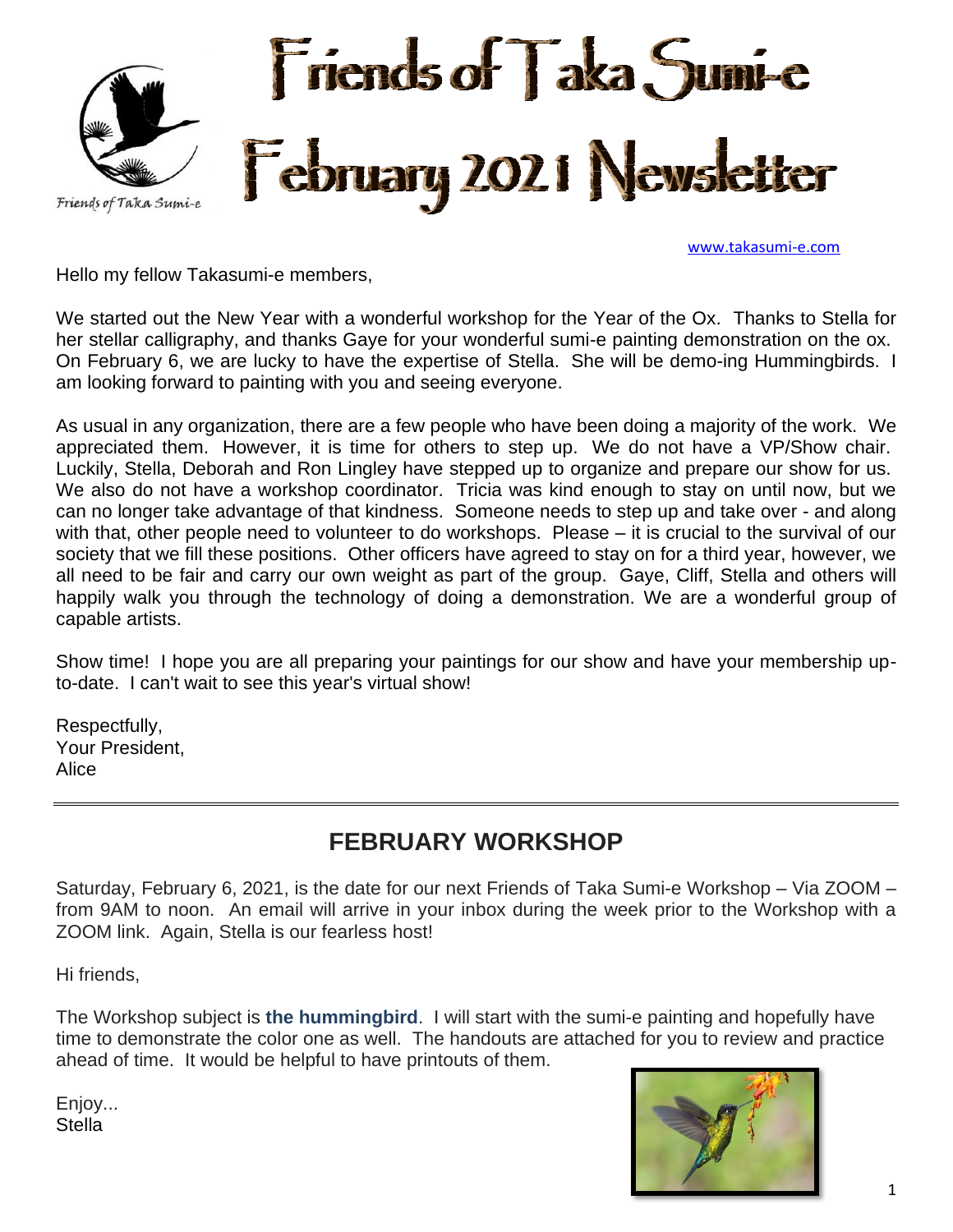

[www.takasumi-e.com](http://www.takasumi-e.com/)

Hello my fellow Takasumi-e members,

We started out the New Year with a wonderful workshop for the Year of the Ox. Thanks to Stella for her stellar calligraphy, and thanks Gaye for your wonderful sumi-e painting demonstration on the ox. On February 6, we are lucky to have the expertise of Stella. She will be demo-ing Hummingbirds. I am looking forward to painting with you and seeing everyone.

As usual in any organization, there are a few people who have been doing a majority of the work. We appreciated them. However, it is time for others to step up. We do not have a VP/Show chair. Luckily, Stella, Deborah and Ron Lingley have stepped up to organize and prepare our show for us. We also do not have a workshop coordinator. Tricia was kind enough to stay on until now, but we can no longer take advantage of that kindness. Someone needs to step up and take over - and along with that, other people need to volunteer to do workshops. Please – it is crucial to the survival of our society that we fill these positions. Other officers have agreed to stay on for a third year, however, we all need to be fair and carry our own weight as part of the group. Gaye, Cliff, Stella and others will happily walk you through the technology of doing a demonstration. We are a wonderful group of capable artists.

Show time! I hope you are all preparing your paintings for our show and have your membership upto-date. I can't wait to see this year's virtual show!

Respectfully, Your President, Alice

## **FEBRUARY WORKSHOP**

Saturday, February 6, 2021, is the date for our next Friends of Taka Sumi-e Workshop – Via ZOOM – from 9AM to noon. An email will arrive in your inbox during the week prior to the Workshop with a ZOOM link. Again, Stella is our fearless host!

Hi friends,

The Workshop subject is **the hummingbird**. I will start with the sumi-e painting and hopefully have time to demonstrate the color one as well. The handouts are attached for you to review and practice ahead of time. It would be helpful to have printouts of them.

Enjoy... **Stella**